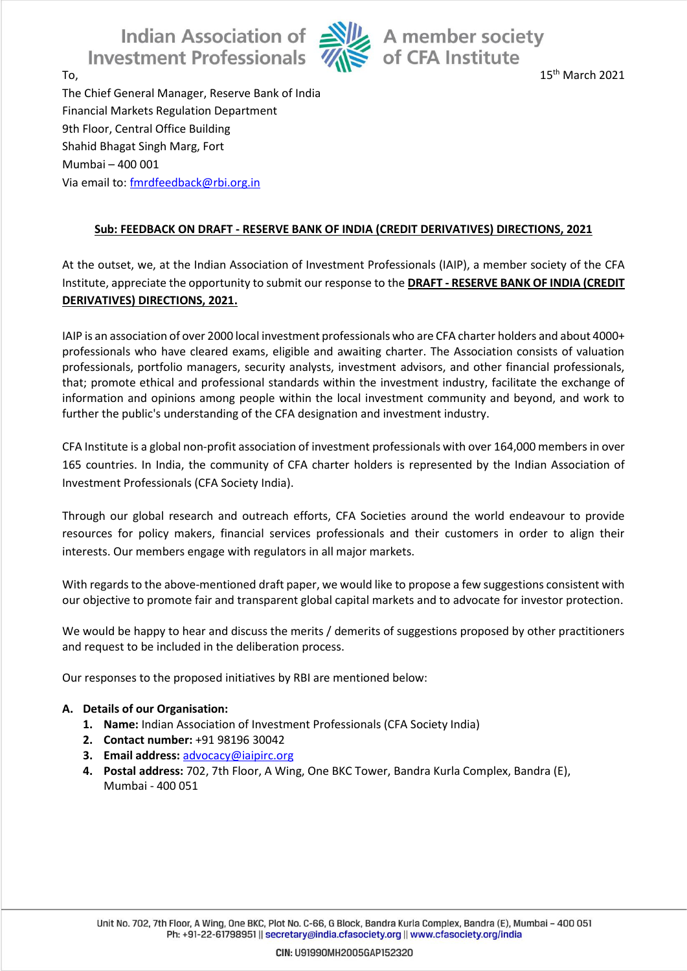Indian Association of Alle A member society<br>estment Professionals and Sof CFA Institute **Investment Professionals** 



To, the contract of the contract of the contract of the contract of the contract of the contract of the contract of the contract of the contract of the contract of the contract of the contract of the contract of the contra

The Chief General Manager, Reserve Bank of India Financial Markets Regulation Department 9th Floor, Central Office Building Shahid Bhagat Singh Marg, Fort Mumbai – 400 001 Via email to: [fmrdfeedback@rbi.org.in](mailto:fmrdfeedback@rbi.org.in)

# **Sub: FEEDBACK ON DRAFT - RESERVE BANK OF INDIA (CREDIT DERIVATIVES) DIRECTIONS, 2021**

At the outset, we, at the Indian Association of Investment Professionals (IAIP), a member society of the CFA Institute, appreciate the opportunity to submit our response to the **DRAFT - RESERVE BANK OF INDIA (CREDIT DERIVATIVES) DIRECTIONS, 2021.**

IAIP is an association of over 2000 local investment professionals who are CFA charter holders and about 4000+ professionals who have cleared exams, eligible and awaiting charter. The Association consists of valuation professionals, portfolio managers, security analysts, investment advisors, and other financial professionals, that; promote ethical and professional standards within the investment industry, facilitate the exchange of information and opinions among people within the local investment community and beyond, and work to further the public's understanding of the CFA designation and investment industry.

CFA Institute is a global non-profit association of investment professionals with over 164,000 members in over 165 countries. In India, the community of CFA charter holders is represented by the Indian Association of Investment Professionals (CFA Society India).

Through our global research and outreach efforts, CFA Societies around the world endeavour to provide resources for policy makers, financial services professionals and their customers in order to align their interests. Our members engage with regulators in all major markets.

With regards to the above-mentioned draft paper, we would like to propose a few suggestions consistent with our objective to promote fair and transparent global capital markets and to advocate for investor protection.

We would be happy to hear and discuss the merits / demerits of suggestions proposed by other practitioners and request to be included in the deliberation process.

Our responses to the proposed initiatives by RBI are mentioned below:

## **A. Details of our Organisation:**

- **1. Name:** Indian Association of Investment Professionals (CFA Society India)
- **2. Contact number:** +91 98196 30042
- **3. Email address:** [advocacy@iaipirc.org](mailto:advocacy@iaipirc.org)
- **4. Postal address:** 702, 7th Floor, A Wing, One BKC Tower, Bandra Kurla Complex, Bandra (E), Mumbai - 400 051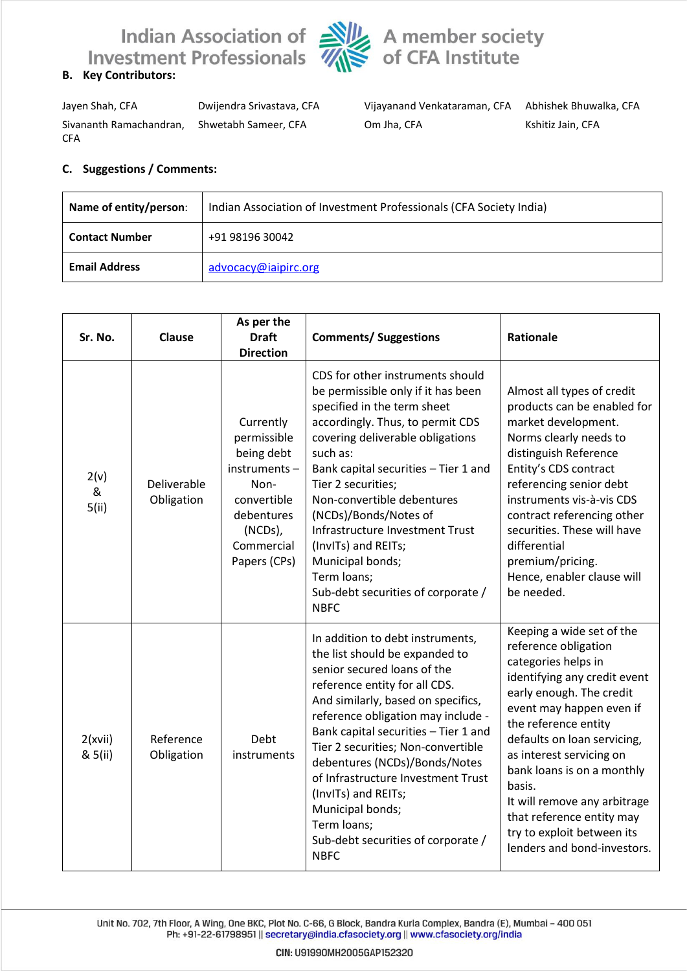



Jayen Shah, CFA Dwijendra Srivastava, CFA Vijayanand Venkataraman, CFA Abhishek Bhuwalka, CFA Sivananth Ramachandran, CFA

Shwetabh Sameer, CFA Om Jha, CFA Kshitiz Jain, CFA

### **C. Suggestions / Comments:**

| Indian Association of Investment Professionals (CFA Society India)<br>Name of entity/person: |                      |  |
|----------------------------------------------------------------------------------------------|----------------------|--|
| <b>Contact Number</b>                                                                        | +91 98196 30042      |  |
| <b>Email Address</b>                                                                         | advocacy@iaipirc.org |  |

| Sr. No.            | Clause                    | As per the<br><b>Draft</b><br><b>Direction</b>                                                                                       | <b>Comments/ Suggestions</b>                                                                                                                                                                                                                                                                                                                                                                                                                                                       | <b>Rationale</b>                                                                                                                                                                                                                                                                                                                                                                                                      |
|--------------------|---------------------------|--------------------------------------------------------------------------------------------------------------------------------------|------------------------------------------------------------------------------------------------------------------------------------------------------------------------------------------------------------------------------------------------------------------------------------------------------------------------------------------------------------------------------------------------------------------------------------------------------------------------------------|-----------------------------------------------------------------------------------------------------------------------------------------------------------------------------------------------------------------------------------------------------------------------------------------------------------------------------------------------------------------------------------------------------------------------|
| 2(v)<br>&<br>5(ii) | Deliverable<br>Obligation | Currently<br>permissible<br>being debt<br>instruments-<br>Non-<br>convertible<br>debentures<br>(NCDs),<br>Commercial<br>Papers (CPs) | CDS for other instruments should<br>be permissible only if it has been<br>specified in the term sheet<br>accordingly. Thus, to permit CDS<br>covering deliverable obligations<br>such as:<br>Bank capital securities - Tier 1 and<br>Tier 2 securities;<br>Non-convertible debentures<br>(NCDs)/Bonds/Notes of<br>Infrastructure Investment Trust<br>(InvITs) and REITs;<br>Municipal bonds;<br>Term loans;<br>Sub-debt securities of corporate /<br><b>NBFC</b>                   | Almost all types of credit<br>products can be enabled for<br>market development.<br>Norms clearly needs to<br>distinguish Reference<br>Entity's CDS contract<br>referencing senior debt<br>instruments vis-à-vis CDS<br>contract referencing other<br>securities. These will have<br>differential<br>premium/pricing.<br>Hence, enabler clause will<br>be needed.                                                     |
| 2(xvii)<br>& 5(ii) | Reference<br>Obligation   | Debt<br>instruments                                                                                                                  | In addition to debt instruments,<br>the list should be expanded to<br>senior secured loans of the<br>reference entity for all CDS.<br>And similarly, based on specifics,<br>reference obligation may include -<br>Bank capital securities - Tier 1 and<br>Tier 2 securities; Non-convertible<br>debentures (NCDs)/Bonds/Notes<br>of Infrastructure Investment Trust<br>(InvITs) and REITs;<br>Municipal bonds;<br>Term loans;<br>Sub-debt securities of corporate /<br><b>NBFC</b> | Keeping a wide set of the<br>reference obligation<br>categories helps in<br>identifying any credit event<br>early enough. The credit<br>event may happen even if<br>the reference entity<br>defaults on loan servicing,<br>as interest servicing on<br>bank loans is on a monthly<br>basis.<br>It will remove any arbitrage<br>that reference entity may<br>try to exploit between its<br>lenders and bond-investors. |

Unit No. 702, 7th Floor, A Wing, One BKC, Plot No. C-66, G Block, Bandra Kurla Complex, Bandra (E), Mumbai - 400 051 Ph: +91-22-61798951 || secretary@india.cfasociety.org || www.cfasociety.org/india

CIN: U91990MH2005GAP152320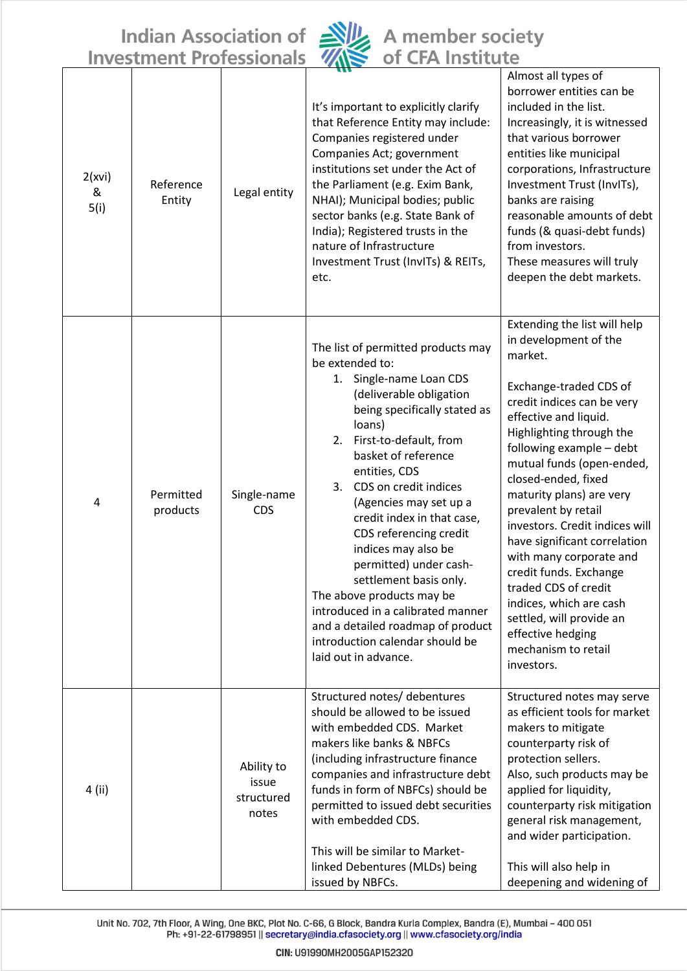Indian Association of Alle A member society<br>Investment Professionals Alle of CFA Institute



| 2(xvi)<br>&<br>5(i) | Reference<br>Entity   | Legal entity                               | It's important to explicitly clarify<br>that Reference Entity may include:<br>Companies registered under<br>Companies Act; government<br>institutions set under the Act of<br>the Parliament (e.g. Exim Bank,<br>NHAI); Municipal bodies; public<br>sector banks (e.g. State Bank of<br>India); Registered trusts in the<br>nature of Infrastructure<br>Investment Trust (InvITs) & REITs,<br>etc.                                                                                                                                                                                       | Almost all types of<br>borrower entities can be<br>included in the list.<br>Increasingly, it is witnessed<br>that various borrower<br>entities like municipal<br>corporations, Infrastructure<br>Investment Trust (InvITs),<br>banks are raising<br>reasonable amounts of debt<br>funds (& quasi-debt funds)<br>from investors.<br>These measures will truly<br>deepen the debt markets.                                                                                                                                                                                         |
|---------------------|-----------------------|--------------------------------------------|------------------------------------------------------------------------------------------------------------------------------------------------------------------------------------------------------------------------------------------------------------------------------------------------------------------------------------------------------------------------------------------------------------------------------------------------------------------------------------------------------------------------------------------------------------------------------------------|----------------------------------------------------------------------------------------------------------------------------------------------------------------------------------------------------------------------------------------------------------------------------------------------------------------------------------------------------------------------------------------------------------------------------------------------------------------------------------------------------------------------------------------------------------------------------------|
| 4                   | Permitted<br>products | Single-name<br>CDS                         | The list of permitted products may<br>be extended to:<br>1. Single-name Loan CDS<br>(deliverable obligation<br>being specifically stated as<br>loans)<br>2. First-to-default, from<br>basket of reference<br>entities, CDS<br>CDS on credit indices<br>3.<br>(Agencies may set up a<br>credit index in that case,<br>CDS referencing credit<br>indices may also be<br>permitted) under cash-<br>settlement basis only.<br>The above products may be<br>introduced in a calibrated manner<br>and a detailed roadmap of product<br>introduction calendar should be<br>laid out in advance. | Extending the list will help<br>in development of the<br>market.<br>Exchange-traded CDS of<br>credit indices can be very<br>effective and liquid.<br>Highlighting through the<br>following example - debt<br>mutual funds (open-ended,<br>closed-ended, fixed<br>maturity plans) are very<br>prevalent by retail<br>investors. Credit indices will<br>have significant correlation<br>with many corporate and<br>credit funds. Exchange<br>traded CDS of credit<br>indices, which are cash<br>settled, will provide an<br>effective hedging<br>mechanism to retail<br>investors. |
| 4 (ii)              |                       | Ability to<br>issue<br>structured<br>notes | Structured notes/ debentures<br>should be allowed to be issued<br>with embedded CDS. Market<br>makers like banks & NBFCs<br>(including infrastructure finance<br>companies and infrastructure debt<br>funds in form of NBFCs) should be<br>permitted to issued debt securities<br>with embedded CDS.<br>This will be similar to Market-<br>linked Debentures (MLDs) being<br>issued by NBFCs.                                                                                                                                                                                            | Structured notes may serve<br>as efficient tools for market<br>makers to mitigate<br>counterparty risk of<br>protection sellers.<br>Also, such products may be<br>applied for liquidity,<br>counterparty risk mitigation<br>general risk management,<br>and wider participation.<br>This will also help in<br>deepening and widening of                                                                                                                                                                                                                                          |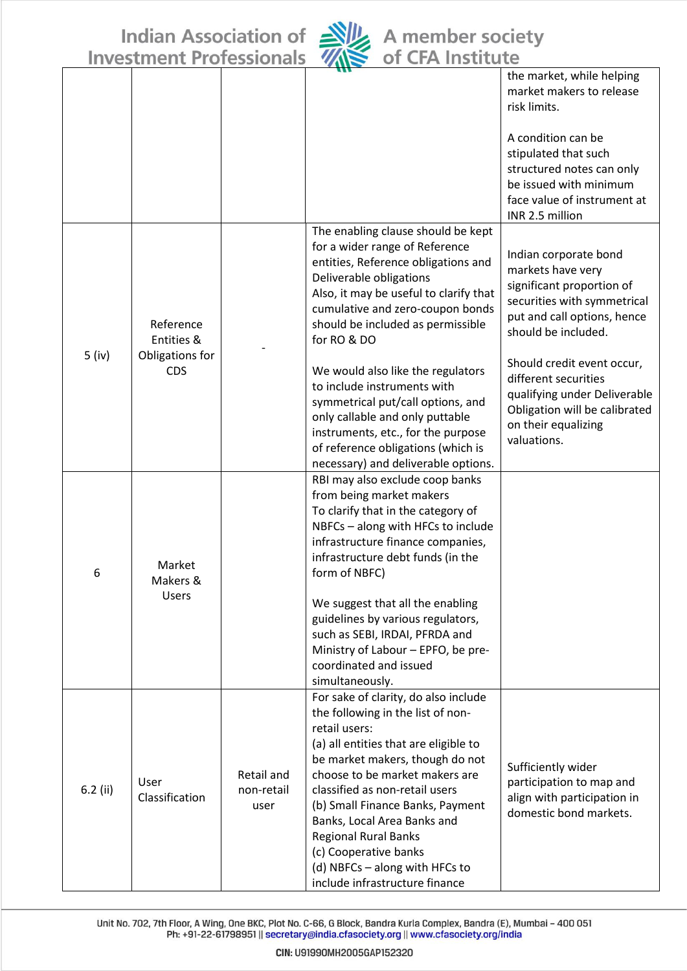Indian Association of Silk A member society<br>Investment Professionals Washington CFA Institute



|                                           |                                    | 1 V I V J J I V I I VII J                                                                                                                                                                                                                                   |                                                                                                                                                                                                                                                                                                                                                                                                                                           |                                                                                                                                                              |
|-------------------------------------------|------------------------------------|-------------------------------------------------------------------------------------------------------------------------------------------------------------------------------------------------------------------------------------------------------------|-------------------------------------------------------------------------------------------------------------------------------------------------------------------------------------------------------------------------------------------------------------------------------------------------------------------------------------------------------------------------------------------------------------------------------------------|--------------------------------------------------------------------------------------------------------------------------------------------------------------|
|                                           |                                    |                                                                                                                                                                                                                                                             |                                                                                                                                                                                                                                                                                                                                                                                                                                           | the market, while helping<br>market makers to release<br>risk limits.                                                                                        |
|                                           |                                    |                                                                                                                                                                                                                                                             |                                                                                                                                                                                                                                                                                                                                                                                                                                           | A condition can be<br>stipulated that such<br>structured notes can only<br>be issued with minimum<br>face value of instrument at                             |
|                                           |                                    |                                                                                                                                                                                                                                                             |                                                                                                                                                                                                                                                                                                                                                                                                                                           | INR 2.5 million                                                                                                                                              |
|                                           | Reference<br>Entities &            |                                                                                                                                                                                                                                                             | The enabling clause should be kept<br>for a wider range of Reference<br>entities, Reference obligations and<br>Deliverable obligations<br>Also, it may be useful to clarify that<br>cumulative and zero-coupon bonds<br>should be included as permissible<br>for RO & DO                                                                                                                                                                  | Indian corporate bond<br>markets have very<br>significant proportion of<br>securities with symmetrical<br>put and call options, hence<br>should be included. |
| $5$ (iv)<br>Obligations for<br><b>CDS</b> |                                    | We would also like the regulators<br>to include instruments with<br>symmetrical put/call options, and<br>only callable and only puttable<br>instruments, etc., for the purpose<br>of reference obligations (which is<br>necessary) and deliverable options. | Should credit event occur,<br>different securities<br>qualifying under Deliverable<br>Obligation will be calibrated<br>on their equalizing<br>valuations.                                                                                                                                                                                                                                                                                 |                                                                                                                                                              |
| 6                                         | Market<br>Makers &<br><b>Users</b> |                                                                                                                                                                                                                                                             | RBI may also exclude coop banks<br>from being market makers<br>To clarify that in the category of<br>NBFCs - along with HFCs to include<br>infrastructure finance companies,<br>infrastructure debt funds (in the<br>form of NBFC)<br>We suggest that all the enabling<br>guidelines by various regulators,<br>such as SEBI, IRDAI, PFRDA and<br>Ministry of Labour - EPFO, be pre-<br>coordinated and issued                             |                                                                                                                                                              |
|                                           |                                    |                                                                                                                                                                                                                                                             | simultaneously.                                                                                                                                                                                                                                                                                                                                                                                                                           |                                                                                                                                                              |
| $6.2$ (ii)                                | User<br>Classification             | Retail and<br>non-retail<br>user                                                                                                                                                                                                                            | For sake of clarity, do also include<br>the following in the list of non-<br>retail users:<br>(a) all entities that are eligible to<br>be market makers, though do not<br>choose to be market makers are<br>classified as non-retail users<br>(b) Small Finance Banks, Payment<br>Banks, Local Area Banks and<br><b>Regional Rural Banks</b><br>(c) Cooperative banks<br>(d) NBFCs - along with HFCs to<br>include infrastructure finance | Sufficiently wider<br>participation to map and<br>align with participation in<br>domestic bond markets.                                                      |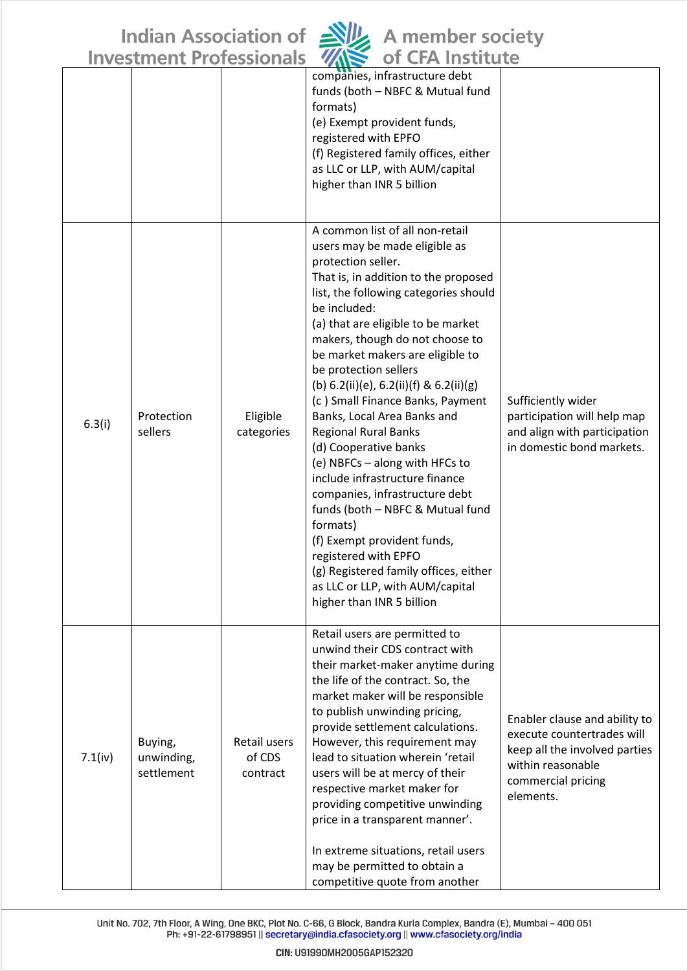

|         | Investment Professionals            |                                    | <b>OT CFA INSTITUTE</b>                                                                                                                                                                                                                                                                                                                                                                                                                                                                                                                                                                                                                                                                                                                                                                                                          |                                                                                                                                                      |
|---------|-------------------------------------|------------------------------------|----------------------------------------------------------------------------------------------------------------------------------------------------------------------------------------------------------------------------------------------------------------------------------------------------------------------------------------------------------------------------------------------------------------------------------------------------------------------------------------------------------------------------------------------------------------------------------------------------------------------------------------------------------------------------------------------------------------------------------------------------------------------------------------------------------------------------------|------------------------------------------------------------------------------------------------------------------------------------------------------|
|         |                                     |                                    | companies, infrastructure debt<br>funds (both - NBFC & Mutual fund<br>formats)<br>(e) Exempt provident funds,<br>registered with EPFO<br>(f) Registered family offices, either<br>as LLC or LLP, with AUM/capital<br>higher than INR 5 billion                                                                                                                                                                                                                                                                                                                                                                                                                                                                                                                                                                                   |                                                                                                                                                      |
| 6.3(i)  | Protection<br>sellers               | Eligible<br>categories             | A common list of all non-retail<br>users may be made eligible as<br>protection seller.<br>That is, in addition to the proposed<br>list, the following categories should<br>be included:<br>(a) that are eligible to be market<br>makers, though do not choose to<br>be market makers are eligible to<br>be protection sellers<br>(b) $6.2(ii)(e)$ , $6.2(ii)(f)$ & $6.2(ii)(g)$<br>(c) Small Finance Banks, Payment<br>Banks, Local Area Banks and<br><b>Regional Rural Banks</b><br>(d) Cooperative banks<br>(e) NBFCs - along with HFCs to<br>include infrastructure finance<br>companies, infrastructure debt<br>funds (both - NBFC & Mutual fund<br>formats)<br>(f) Exempt provident funds,<br>registered with EPFO<br>(g) Registered family offices, either<br>as LLC or LLP, with AUM/capital<br>higher than INR 5 billion | Sufficiently wider<br>participation will help map<br>and align with participation<br>in domestic bond markets.                                       |
| 7.1(iv) | Buying,<br>unwinding,<br>settlement | Retail users<br>of CDS<br>contract | Retail users are permitted to<br>unwind their CDS contract with<br>their market-maker anytime during<br>the life of the contract. So, the<br>market maker will be responsible<br>to publish unwinding pricing,<br>provide settlement calculations.<br>However, this requirement may<br>lead to situation wherein 'retail<br>users will be at mercy of their<br>respective market maker for<br>providing competitive unwinding<br>price in a transparent manner'.<br>In extreme situations, retail users<br>may be permitted to obtain a<br>competitive quote from another                                                                                                                                                                                                                                                        | Enabler clause and ability to<br>execute countertrades will<br>keep all the involved parties<br>within reasonable<br>commercial pricing<br>elements. |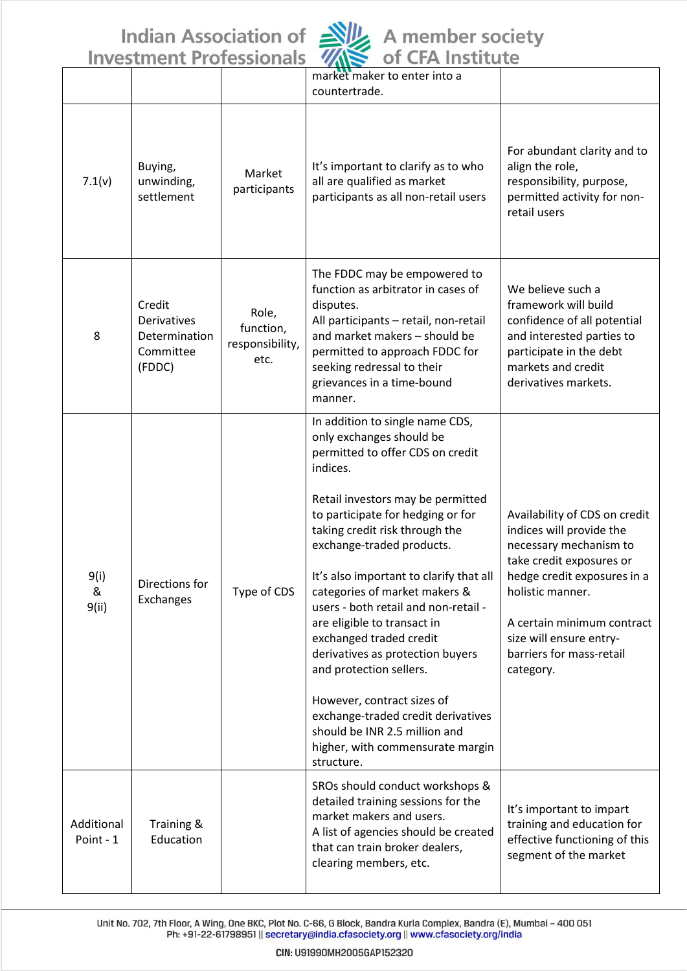Indian Association of **NU** A member society



|                         | <u>IIIVESLIIIEIIL FIUIESSIUIIAIS</u>                          |                                               | <b>OF CIMILISTICITY</b>                                                                                                                                                                                                                                                                                                                                                                                                                                                                                                                                                                                                                                  |                                                                                                                                                                                                                                                                      |
|-------------------------|---------------------------------------------------------------|-----------------------------------------------|----------------------------------------------------------------------------------------------------------------------------------------------------------------------------------------------------------------------------------------------------------------------------------------------------------------------------------------------------------------------------------------------------------------------------------------------------------------------------------------------------------------------------------------------------------------------------------------------------------------------------------------------------------|----------------------------------------------------------------------------------------------------------------------------------------------------------------------------------------------------------------------------------------------------------------------|
|                         |                                                               |                                               | market maker to enter into a<br>countertrade.                                                                                                                                                                                                                                                                                                                                                                                                                                                                                                                                                                                                            |                                                                                                                                                                                                                                                                      |
| 7.1(v)                  | Buying,<br>unwinding,<br>settlement                           | Market<br>participants                        | It's important to clarify as to who<br>all are qualified as market<br>participants as all non-retail users                                                                                                                                                                                                                                                                                                                                                                                                                                                                                                                                               | For abundant clarity and to<br>align the role,<br>responsibility, purpose,<br>permitted activity for non-<br>retail users                                                                                                                                            |
| 8                       | Credit<br>Derivatives<br>Determination<br>Committee<br>(FDDC) | Role,<br>function,<br>responsibility,<br>etc. | The FDDC may be empowered to<br>function as arbitrator in cases of<br>disputes.<br>All participants - retail, non-retail<br>and market makers - should be<br>permitted to approach FDDC for<br>seeking redressal to their<br>grievances in a time-bound<br>manner.                                                                                                                                                                                                                                                                                                                                                                                       | We believe such a<br>framework will build<br>confidence of all potential<br>and interested parties to<br>participate in the debt<br>markets and credit<br>derivatives markets.                                                                                       |
| 9(i)<br>&<br>9(ii)      | Directions for<br>Exchanges                                   | Type of CDS                                   | In addition to single name CDS,<br>only exchanges should be<br>permitted to offer CDS on credit<br>indices.<br>Retail investors may be permitted<br>to participate for hedging or for<br>taking credit risk through the<br>exchange-traded products.<br>It's also important to clarify that all<br>categories of market makers &<br>users - both retail and non-retail -<br>are eligible to transact in<br>exchanged traded credit<br>derivatives as protection buyers<br>and protection sellers.<br>However, contract sizes of<br>exchange-traded credit derivatives<br>should be INR 2.5 million and<br>higher, with commensurate margin<br>structure. | Availability of CDS on credit<br>indices will provide the<br>necessary mechanism to<br>take credit exposures or<br>hedge credit exposures in a<br>holistic manner.<br>A certain minimum contract<br>size will ensure entry-<br>barriers for mass-retail<br>category. |
| Additional<br>Point - 1 | Training &<br>Education                                       |                                               | SROs should conduct workshops &<br>detailed training sessions for the<br>market makers and users.<br>A list of agencies should be created<br>that can train broker dealers,<br>clearing members, etc.                                                                                                                                                                                                                                                                                                                                                                                                                                                    | It's important to impart<br>training and education for<br>effective functioning of this<br>segment of the market                                                                                                                                                     |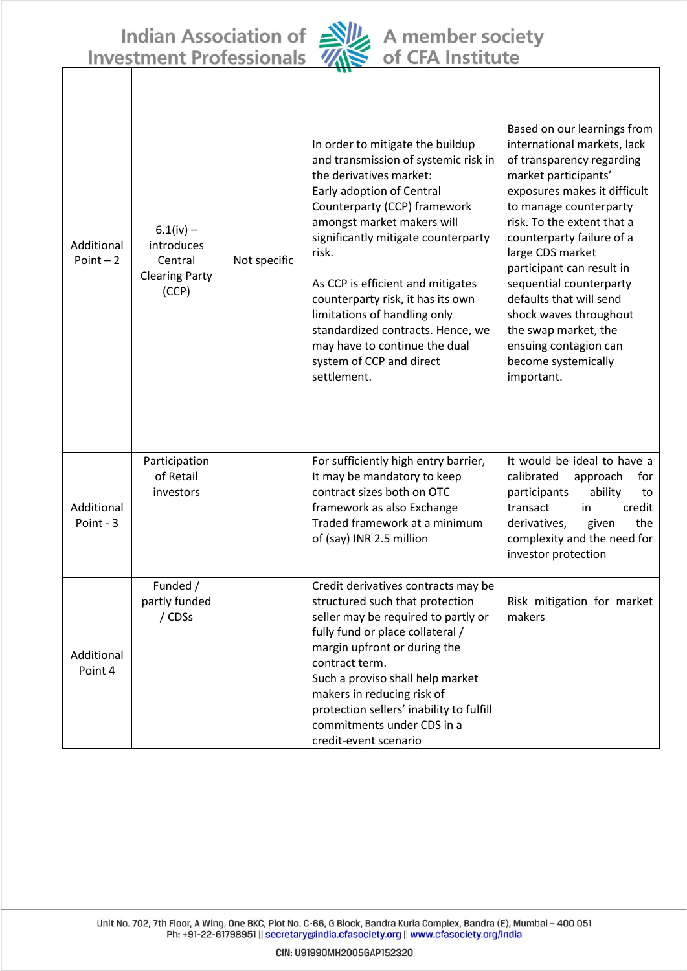Indian Association of Ally A member society<br>Investment Professionals Ally of CFA Institute



| Additional<br>$Point - 2$ | $6.1(iv) -$<br>introduces<br>Central<br><b>Clearing Party</b><br>(CCP) | Not specific | In order to mitigate the buildup<br>and transmission of systemic risk in<br>the derivatives market:<br>Early adoption of Central<br>Counterparty (CCP) framework<br>amongst market makers will<br>significantly mitigate counterparty<br>risk.<br>As CCP is efficient and mitigates<br>counterparty risk, it has its own<br>limitations of handling only<br>standardized contracts. Hence, we<br>may have to continue the dual<br>system of CCP and direct<br>settlement. | Based on our learnings from<br>international markets, lack<br>of transparency regarding<br>market participants'<br>exposures makes it difficult<br>to manage counterparty<br>risk. To the extent that a<br>counterparty failure of a<br>large CDS market<br>participant can result in<br>sequential counterparty<br>defaults that will send<br>shock waves throughout<br>the swap market, the<br>ensuing contagion can<br>become systemically<br>important. |
|---------------------------|------------------------------------------------------------------------|--------------|---------------------------------------------------------------------------------------------------------------------------------------------------------------------------------------------------------------------------------------------------------------------------------------------------------------------------------------------------------------------------------------------------------------------------------------------------------------------------|-------------------------------------------------------------------------------------------------------------------------------------------------------------------------------------------------------------------------------------------------------------------------------------------------------------------------------------------------------------------------------------------------------------------------------------------------------------|
| Additional<br>Point - 3   | Participation<br>of Retail<br>investors                                |              | For sufficiently high entry barrier,<br>It may be mandatory to keep<br>contract sizes both on OTC<br>framework as also Exchange<br>Traded framework at a minimum<br>of (say) INR 2.5 million                                                                                                                                                                                                                                                                              | It would be ideal to have a<br>calibrated<br>for<br>approach<br>participants<br>ability<br>to<br>transact<br>credit<br>in<br>the<br>derivatives,<br>given<br>complexity and the need for<br>investor protection                                                                                                                                                                                                                                             |
| Additional<br>Point 4     | Funded /<br>partly funded<br>/ CDSs                                    |              | Credit derivatives contracts may be<br>structured such that protection<br>seller may be required to partly or<br>fully fund or place collateral /<br>margin upfront or during the<br>contract term.<br>Such a proviso shall help market<br>makers in reducing risk of<br>protection sellers' inability to fulfill<br>commitments under CDS in a<br>credit-event scenario                                                                                                  | Risk mitigation for market<br>makers                                                                                                                                                                                                                                                                                                                                                                                                                        |

Unit No. 702, 7th Floor, A Wing, One BKC, Plot No. C-66, G Block, Bandra Kurla Complex, Bandra (E), Mumbai - 400 051 Ph: +91-22-61798951 || secretary@india.cfasociety.org || www.cfasociety.org/india

CIN: U91990MH2005GAP152320